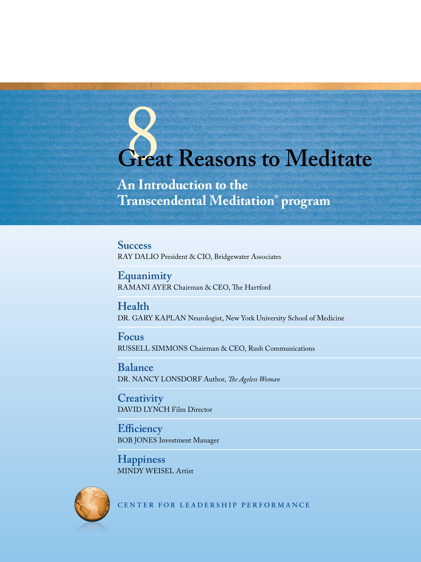# Great Reasons to Meditate

**An Introduction to the Transcendental Meditation® program**

**Success** RAY DALIO President & CIO, Bridgewater Associates

**Equanimity** RAMANI AYER Chairman & CEO, The Hartford

**Health** DR. GARY KAPLAN Neurologist, New York University School of Medicine

**Focus**  RUSSELL SIMMONS Chairman & CEO, Rush Communications

**Balance**  DR. NANCY LONSDORF Author, *The Ageless Woman*

**Creativity**  DAVID LYNCH Film Director

**Efficiency**  BOB JONES Investment Manager

**Happiness**  MINDY WEISEL Artist



**CENTER FOR LEADERSHIP PERFORMANCE**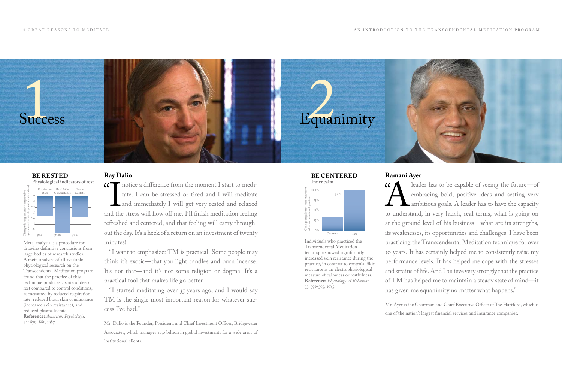#### **Ramani Ayer**

 $($ Ieader has to be capable of seeing the future—of<br>embracing bold, positive ideas and setting very<br>ambitious goals. A leader has to have the capacity<br>to understand, in very harsh, real terms, what is going on embracing bold, positive ideas and setting very ambitious goals. A leader has to have the capacity to understand, in very harsh, real terms, what is going on at the ground level of his business—what are its strengths, its weaknesses, its opportunities and challenges. I have been practicing the Transcendental Meditation technique for over 30 years. It has certainly helped me to consistently raise my performance levels. It has helped me cope with the stresses and strains of life. And I believe very strongly that the practice of TM has helped me to maintain a steady state of mind—it has given me equanimity no matter what happens."

Mr. Ayer is the Chairman and Chief Executive Officer of The Hartford, which is one of the nation's largest financial services and insurance companies.

T notice a difference from the moment I start to medi-<br>tate. I can be stressed or tired and I will meditate The stress a difference from the members I start to mean<br>tate. I can be stressed or tired and I will meditate<br>and immediately I will get very rested and relaxed<br>and the stress will flow off me. I'll finish meditation feeli tate. I can be stressed or tired and I will meditate and immediately I will get very rested and relaxed refreshed and centered, and that feeling will carry throughout the day. It's a heck of a return on an investment of twenty minutes!

Individuals who practiced the Transcendental Meditation technique showed significantly increased skin resistance during the practice, in contrast to controls. Skin resistance is an electrophysiological measure of calmness or restfulness. **Reference:** *Physiology & Behavior* 35: 591–595, 1985.





## **Ray Dalio**



Respiration Basil Skin Plasma **Be rested Physiological indicators of rest**

"I want to emphasize: TM is practical. Some people may think it's exotic—that you light candles and burn incense. It's not that—and it's not some religion or dogma. It's a practical tool that makes life go better.

"I started meditating over 35 years ago, and I would say TM is the single most important reason for whatever success I've had."

Mr. Dalio is the Founder, President, and Chief Investment Officer, Bridgewater Associates, which manages \$150 billion in global investments for a wide array of institutional clients.

Meta-analysis is a procedure for drawing definitive conclusions from large bodies of research studies. A meta-analysis of all available physiological research on the Transcendental Meditation program found that the practice of this technique produces a state of deep rest compared to control conditions, as measured by reduced respiration rate, reduced basal skin conductance (increased skin resistance), and reduced plasma lactate. **Reference:** *American Psychologist* 42: 879–881, 1987.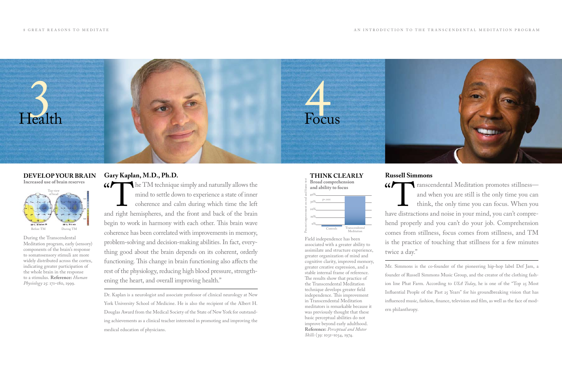#### **Russell Simmons**

 $\alpha$ Transcendental Meditation promotes stillness—<br>and when you are still is the only time you can<br>think, the only time you can focus. When you<br>we distractions and noise in your mind, you can't compreand when you are still is the only time you can think, the only time you can focus. When you have distractions and noise in your mind, you can't comprehend properly and you can't do your job. Comprehension comes from stillness, focus comes from stillness, and TM is the practice of touching that stillness for a few minutes twice a day."

Mr. Simmons is the co-founder of the pioneering hip-hop label Def Jam, a founder of Russell Simmons Music Group, and the creator of the clothing fashion line Phat Farm. According to *USA Today*, he is one of the "Top 25 Most Influential People of the Past 25 Years" for his groundbreaking vision that has influenced music, fashion, finance, television and film, as well as the face of modern philanthropy.

Field independence has been associated with a greater ability to assimilate and structure experience, greater organization of mind and cognitive clarity, improved memory, greater creative expression, and a stable internal frame of reference. The results show that practice of the Transcendental Meditation technique develops greater field independence. This improvement in Transcendental Meditation meditators is remarkable because it was previously thought that these basic perceptual abilities do not improve beyond early adulthood. **Reference:** *Perceptual and Motor Skills* (39: 1031–1034, 1974.



#### **Think clearly Broad comprehension**

**and ability to focus**

## **Gary Kaplan, M.D., Ph.D.**



" TM technique simply and naturally allows the<br>mind to settle down to experience a state of inner<br>coherence and calm during which time the left<br>d right hemispheres, and the front and back of the brain mind to settle down to experience a state of inner coherence and calm during which time the left and right hemispheres, and the front and back of the brain begin to work in harmony with each other. This brain wave  $\mathcal{L}_{\text{before TM}}$   $\mathcal{L}_{\text{outrol}}$   $\mathcal{L}_{\text{outrol}}$   $\mathcal{L}_{\text{outrol}}$   $\mathcal{L}_{\text{outrol}}$   $\mathcal{L}_{\text{outrol}}$   $\mathcal{L}_{\text{outrol}}$ problem-solving and decision-making abilities. In fact, everything good about the brain depends on its coherent, orderly functioning. This change in brain functioning also affects the rest of the physiology, reducing high blood pressure, strengthening the heart, and overall improving health."

> Dr. Kaplan is a neurologist and associate professor of clinical neurology at New York University School of Medicine. He is also the recipient of the Albert H. Douglas Award from the Medical Society of the State of New York for outstanding achievements as a clinical teacher interested in promoting and improving the medical education of physicians.

During the Transcendental Meditation program, early (sensory) components of the brain's response to somatosensory stimuli are more widely distributed across the cortex, indicating greater participation of the whole brain in the response to a stimulus. **Reference:** *Human Physiology* 25: 171–180, 1999.

#### **DEVELOP YOUR BRAIN Increased use of brain reserves**

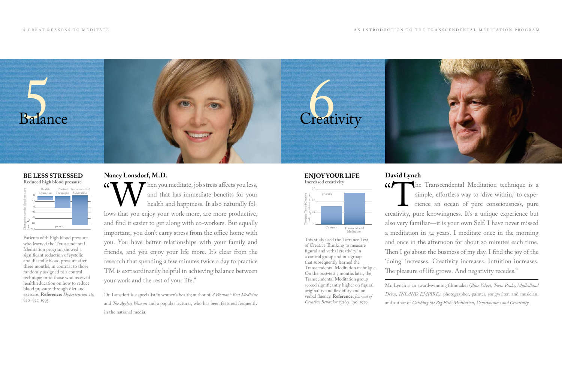#### **David Lynch**

 $\alpha$ The Transcendental Meditation technique is a simple, effortless way to 'dive within,' to experience an ocean of pure consciousness, pure eativity, pure knowingness. It's a unique experience but simple, effortless way to 'dive within,' to experience an ocean of pure consciousness, pure creativity, pure knowingness. It's a unique experience but also very familiar—it is your own Self. I have never missed a meditation in 34 years. I meditate once in the morning and once in the afternoon for about 20 minutes each time. Then I go about the business of my day. I find the joy of the 'doing' increases. Creativity increases. Intuition increases. The pleasure of life grows. And negativity recedes."

Mr. Lynch is an award-winning filmmaker (*Blue Velvet, Twin Peaks, Mulholland Drive, INLAND EMPIRE)*, photographer, painter, songwriter, and musician, and author of *Catching the Big Fish: Meditation, Consciousness and Creativity.* 

This study used the Torrance Test of Creative Thinking to measure figural and verbal creativity in a control group and in a group that subsequently learned the Transcendental Meditation technique. On the post-test  $\varsigma$  months later, the Transcendental Meditation group scored significantly higher on figural originality and flexibility and on verbal fluency. **Reference:** *Journal of Creative Behavior* 13:169–190, 1979.



## **Nancy Lonsdorf, M.D.**



" Kath and that has immediate benefits for your health and happiness. It also naturally follows that you enjoy your work more, are more productive, and that has immediate benefits for your health and happiness. It also naturally foland find it easier to get along with co-workers. But equally important, you don't carry stress from the office home with you. You have better relationships with your family and friends, and you enjoy your life more. It's clear from the research that spending a few minutes twice a day to practice TM is extraordinarily helpful in achieving balance between your work and the rest of your life."

Dr. Lonsdorf is a specialist in women's health; author of *A Woman's Best Medicine* and *The Ageless Woman* and a popular lecturer, who has been featured frequently in the national media.

Patients with high blood pressure who learned the Transcendental Meditation program showed a significant reduction of systolic and diastolic blood pressure after three months, in contrast to those randomly assigned to a control technique or to those who received health education on how to reduce blood pressure through diet and exercise. **Reference:** *Hypertension* 26: 820–827, 1995.

#### **be less stressed Reduced high blood pressure**

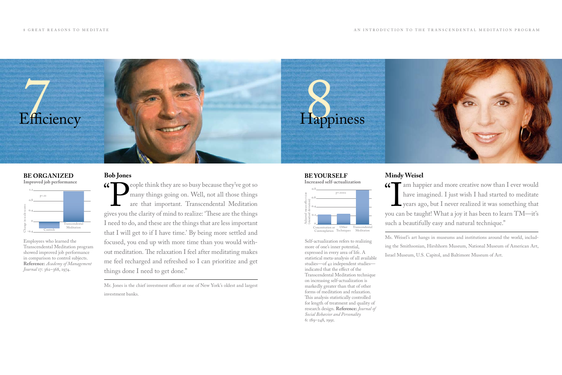#### **Mindy Weisel**

G am happier and more creative now than I ever would<br>have imagined. I just wish I had started to meditate **I**<br>In can have imagined. I just wish I had started to meditate years ago, but I never realized it was something that you can be taught! What a joy it has been to learn TM—it's such a beautifully easy and natural technique."

Ms. Weisel's art hangs in museums and institutions around the world, including the Smithsonian, Hirshhorn Museum, National Museum of American Art, Israel Museum, U.S. Capitol, and Baltimore Museum of Art.

Self-actualization refers to realizing more of one's inner potential, expressed in every area of life. A statistical meta-analysis of all available studies—of 42 independent studies indicated that the effect of the Transcendental Meditation technique on increasing self-actualization is markedly greater than that of other forms of meditation and relaxation. This analysis statistically controlled for length of treatment and quality of research design. **Reference:** *Journal of Social Behavior and Personality* 6: 189–248, 1991.

 $\epsilon$ People think they are so busy because they've got so<br>many things going on. Well, not all those things<br>are that important. Transcendental Meditation<br>ves you the clarity of mind to realize: 'These are the things many things going on. Well, not all those things are that important. Transcendental Meditation gives you the clarity of mind to realize: 'These are the things I need to do, and these are the things that are less important that I will get to if I have time.' By being more settled and focused, you end up with more time than you would without meditation. The relaxation I feel after meditating makes me feel recharged and refreshed so I can prioritize and get things done I need to get done."



### **Bob Jones**

**Improved job performance**



#### **Be yourself Increased self-actualization** Adjusted mean effect size (standard deviation) 0.8 0.6 0.4 0.2  $\circ$ Concentration or Other Transcendental p=.0002

Employees who learned the Transcendental Meditation program showed improved job performance in comparison to control subjects. **Reference:** *Academy of Management Journal* 17: 362–368, 1974.

#### **BE ORGANIZED**

Contemplation

Techniques

Meditation

Mr. Jones is the chief investment officer at one of New York's oldest and largest investment banks.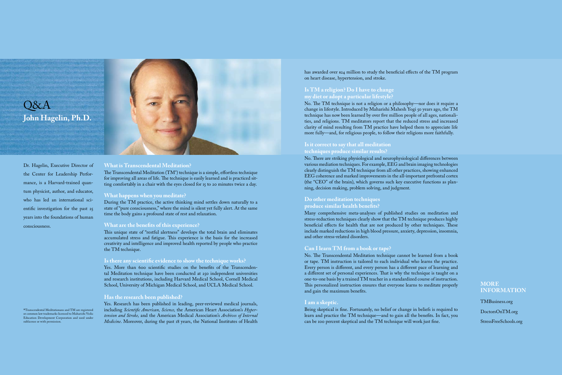#### **What is Transcendental Meditation?**

The Transcendental Meditation (TM® ) technique is a simple, effortless technique for improving all areas of life. The technique is easily learned and is practiced sitting comfortably in a chair with the eyes closed for 15 to 20 minutes twice a day.

#### **What happens when you meditate?**

During the TM practice, the active thinking mind settles down naturally to a state of "pure consciousness," where the mind is silent yet fully alert. At the same time the body gains a profound state of rest and relaxation.

#### **What are the benefits of this experience?**

This unique state of "restful alertness" develops the total brain and eliminates accumulated stress and fatigue. This experience is the basis for the increased creativity and intelligence and improved health reported by people who practice the TM technique.

has awarded over \$24 million to study the beneficial effects of the TM program on heart disease, hypertension, and stroke.

#### **Is there any scientific evidence to show the technique works?**

Yes. More than 600 scientific studies on the benefits of the Transcendental Meditation technique have been conducted at 250 independent universities and research institutions, including Harvard Medical School, Cornell Medical School, University of Michigan Medical School, and UCLA Medical School.

#### **Has the research been published?**

Yes. Research has been published in leading, peer-reviewed medical journals, including *Scientific American, Science,* the American Heart Association's *Hypertension and Stroke,* and the American Medical Association's *Archives of Internal Medicine*. Moreover, during the past 18 years, the National Institutes of Health

#### **Is TM a religion? Do I have to change my diet or adopt a particular lifestyle?**

No. The TM technique is not a religion or a philosophy—nor does it require a change in lifestyle. Introduced by Maharishi Mahesh Yogi 50 years ago, the TM technique has now been learned by over five million people of all ages, nationalities, and religions. TM meditators report that the reduced stress and increased clarity of mind resulting from TM practice have helped them to appreciate life more fully—and, for religious people, to follow their religions more faithfully.

# $O\&A$ **John Hagelin, Ph.D.**



®Transcendental Meditationans and TM are registered or common law trademarks licensed to Maharishi Vedic Education Development Corporation and used under sublicense or with permission.

#### **Is it correct to say that all meditation techniques produce similar results?**

No. There are striking physiological and neurophysiological differences between various mediation techniques. For example, EEG and brain imaging technologies clearly distinguish the TM technique from all other practices, showing enhanced EEG coherence and marked improvements in the all-important prefrontal cortex (the "CEO" of the brain), which governs such key executive functions as planning, decision making, problem solving, and judgment.

#### **Do other meditation techniques produce similar health benefits?**

Many comprehensive meta-analyses of published studies on meditation and stress-reduction techniques clearly show that the TM technique produces highly beneficial effects for health that are not produced by other techniques. These include marked reductions in high blood pressure, anxiety, depression, insomnia, and other stress-related disorders.

#### **Can I learn TM from a book or tape?**

No. The Transcendental Meditation technique cannot be learned from a book or tape. TM instruction is tailored to each individual who learns the practice. Every person is different, and every person has a different pace of learning and a different set of personal experiences. That is why the technique is taught on a one-to-one basis by a trained TM teacher in a standardized course of instruction. This personalized instruction ensures that everyone learns to meditate properly and gain the maximum benefits.

#### **I am a skeptic.**

Being skeptical is fine. Fortunately, no belief or change in beliefs is required to learn and practice the TM technique—and to gain all the benefits. In fact, you can be 100 percent skeptical and the TM technique will work just fine.

Dr. Hagelin, Executive Director of the Center for Leadership Performance, is a Harvard-trained quantum physicist, author, and educator, who has led an international scientific investigation for the past 25 years into the foundations of human consciousness.

#### **MORE INFORMATION**

TMBusiness.org DoctorsOnTM.org StressFreeSchools.org